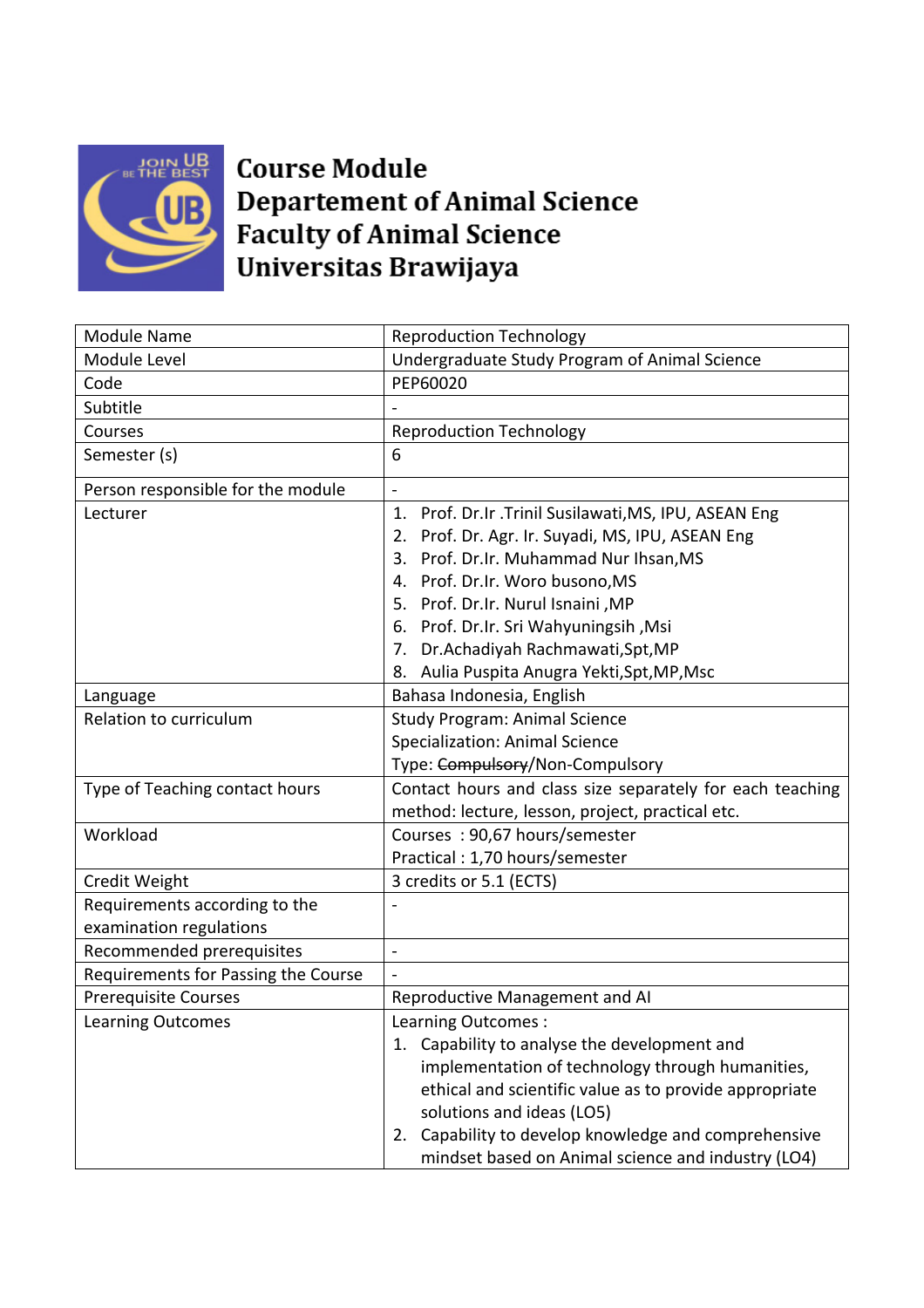

## **Course Module Departement of Animal Science Faculty of Animal Science** Universitas Brawijaya

| <b>Module Name</b>                  | <b>Reproduction Technology</b>                            |
|-------------------------------------|-----------------------------------------------------------|
| Module Level                        | Undergraduate Study Program of Animal Science             |
| Code                                | PEP60020                                                  |
| Subtitle                            |                                                           |
| Courses                             | <b>Reproduction Technology</b>                            |
| Semester (s)                        | 6                                                         |
| Person responsible for the module   |                                                           |
| Lecturer                            | 1. Prof. Dr.Ir .Trinil Susilawati, MS, IPU, ASEAN Eng     |
|                                     | 2. Prof. Dr. Agr. Ir. Suyadi, MS, IPU, ASEAN Eng          |
|                                     | 3. Prof. Dr.Ir. Muhammad Nur Ihsan, MS                    |
|                                     | 4. Prof. Dr.Ir. Woro busono, MS                           |
|                                     | 5. Prof. Dr.Ir. Nurul Isnaini, MP                         |
|                                     | 6. Prof. Dr.Ir. Sri Wahyuningsih, Msi                     |
|                                     | 7. Dr.Achadiyah Rachmawati, Spt, MP                       |
|                                     | 8. Aulia Puspita Anugra Yekti, Spt, MP, Msc               |
| Language                            | Bahasa Indonesia, English                                 |
| Relation to curriculum              | <b>Study Program: Animal Science</b>                      |
|                                     | Specialization: Animal Science                            |
|                                     | Type: Compulsory/Non-Compulsory                           |
| Type of Teaching contact hours      | Contact hours and class size separately for each teaching |
|                                     | method: lecture, lesson, project, practical etc.          |
| Workload                            | Courses: 90,67 hours/semester                             |
|                                     | Practical: 1,70 hours/semester                            |
| Credit Weight                       | 3 credits or 5.1 (ECTS)                                   |
| Requirements according to the       |                                                           |
| examination regulations             |                                                           |
| Recommended prerequisites           | $\overline{\phantom{0}}$                                  |
| Requirements for Passing the Course |                                                           |
| <b>Prerequisite Courses</b>         | Reproductive Management and AI                            |
| <b>Learning Outcomes</b>            | Learning Outcomes :                                       |
|                                     | 1. Capability to analyse the development and              |
|                                     | implementation of technology through humanities,          |
|                                     | ethical and scientific value as to provide appropriate    |
|                                     | solutions and ideas (LO5)                                 |
|                                     | 2. Capability to develop knowledge and comprehensive      |
|                                     | mindset based on Animal science and industry (LO4)        |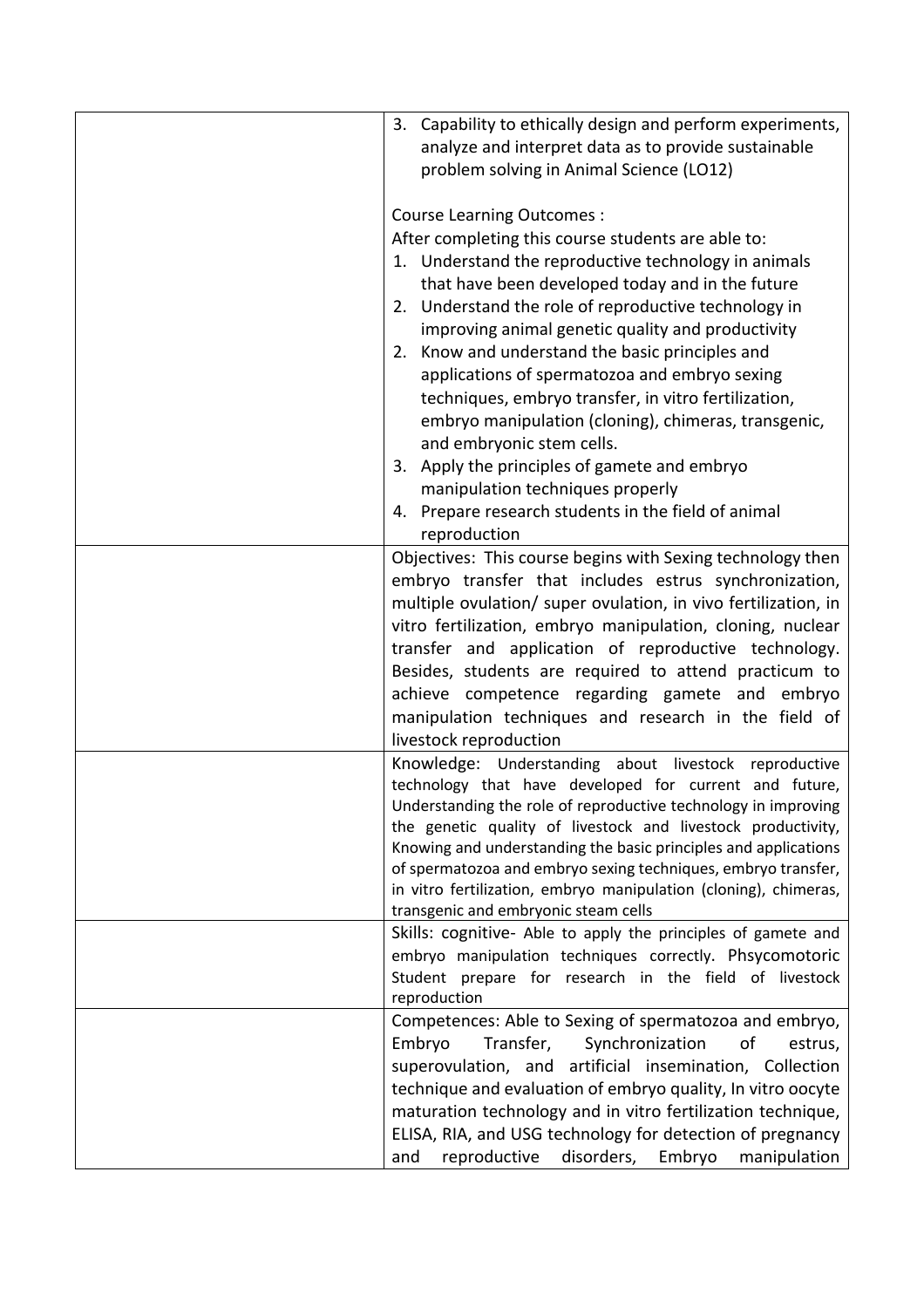| 3. Capability to ethically design and perform experiments,<br>analyze and interpret data as to provide sustainable<br>problem solving in Animal Science (LO12)<br><b>Course Learning Outcomes:</b><br>After completing this course students are able to:<br>1. Understand the reproductive technology in animals<br>that have been developed today and in the future<br>2. Understand the role of reproductive technology in<br>improving animal genetic quality and productivity                        |
|----------------------------------------------------------------------------------------------------------------------------------------------------------------------------------------------------------------------------------------------------------------------------------------------------------------------------------------------------------------------------------------------------------------------------------------------------------------------------------------------------------|
| 2. Know and understand the basic principles and<br>applications of spermatozoa and embryo sexing<br>techniques, embryo transfer, in vitro fertilization,<br>embryo manipulation (cloning), chimeras, transgenic,<br>and embryonic stem cells.<br>3. Apply the principles of gamete and embryo<br>manipulation techniques properly<br>4. Prepare research students in the field of animal<br>reproduction                                                                                                 |
| Objectives: This course begins with Sexing technology then<br>embryo transfer that includes estrus synchronization,<br>multiple ovulation/ super ovulation, in vivo fertilization, in<br>vitro fertilization, embryo manipulation, cloning, nuclear<br>transfer and application of reproductive technology.<br>Besides, students are required to attend practicum to<br>achieve competence regarding gamete and embryo<br>manipulation techniques and research in the field of<br>livestock reproduction |
| Knowledge: Understanding about livestock reproductive<br>technology that have developed for current and future,<br>Understanding the role of reproductive technology in improving<br>the genetic quality of livestock and livestock productivity,<br>Knowing and understanding the basic principles and applications<br>of spermatozoa and embryo sexing techniques, embryo transfer,<br>in vitro fertilization, embryo manipulation (cloning), chimeras,<br>transgenic and embryonic steam cells        |
| Skills: cognitive- Able to apply the principles of gamete and<br>embryo manipulation techniques correctly. Phsycomotoric<br>Student prepare for research in the field of livestock<br>reproduction                                                                                                                                                                                                                                                                                                       |
| Competences: Able to Sexing of spermatozoa and embryo,<br>Embryo<br>Transfer,<br>Synchronization<br>of<br>estrus,<br>superovulation, and artificial insemination, Collection<br>technique and evaluation of embryo quality, In vitro oocyte<br>maturation technology and in vitro fertilization technique,<br>ELISA, RIA, and USG technology for detection of pregnancy<br>reproductive<br>disorders, Embryo<br>and<br>manipulation                                                                      |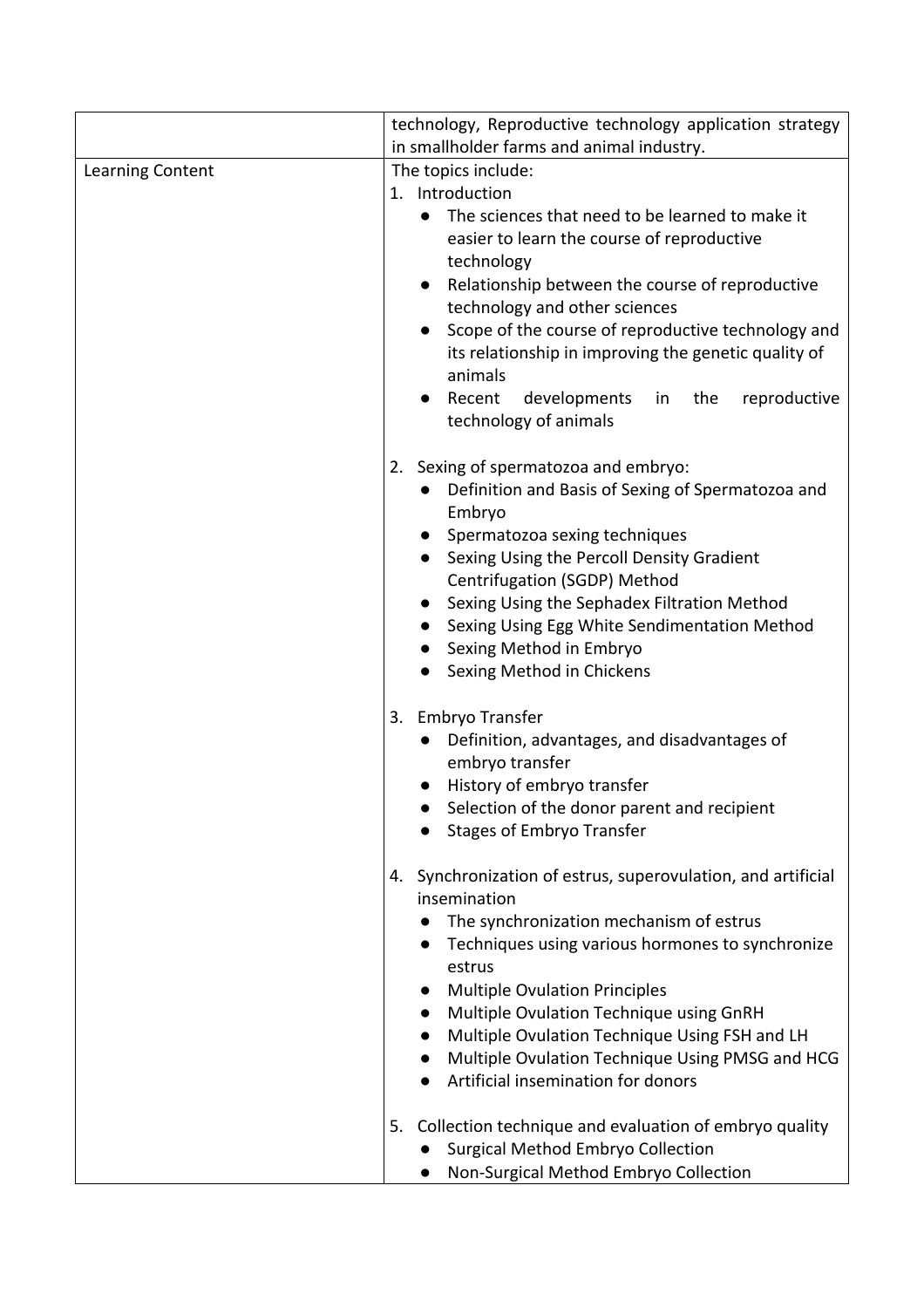|                  | technology, Reproductive technology application strategy                        |
|------------------|---------------------------------------------------------------------------------|
|                  | in smallholder farms and animal industry.                                       |
| Learning Content | The topics include:                                                             |
|                  | 1. Introduction                                                                 |
|                  | The sciences that need to be learned to make it<br>$\bullet$                    |
|                  | easier to learn the course of reproductive                                      |
|                  | technology                                                                      |
|                  | Relationship between the course of reproductive                                 |
|                  | technology and other sciences                                                   |
|                  | Scope of the course of reproductive technology and                              |
|                  | its relationship in improving the genetic quality of<br>animals                 |
|                  | Recent<br>developments<br>in the<br>reproductive                                |
|                  | technology of animals                                                           |
|                  | Sexing of spermatozoa and embryo:<br>2.                                         |
|                  | Definition and Basis of Sexing of Spermatozoa and<br>Embryo                     |
|                  | • Spermatozoa sexing techniques                                                 |
|                  | Sexing Using the Percoll Density Gradient                                       |
|                  | Centrifugation (SGDP) Method                                                    |
|                  | Sexing Using the Sephadex Filtration Method                                     |
|                  | Sexing Using Egg White Sendimentation Method                                    |
|                  | Sexing Method in Embryo                                                         |
|                  | Sexing Method in Chickens                                                       |
|                  | Embryo Transfer<br>3.                                                           |
|                  | Definition, advantages, and disadvantages of                                    |
|                  | embryo transfer                                                                 |
|                  | History of embryo transfer                                                      |
|                  | Selection of the donor parent and recipient<br><b>Stages of Embryo Transfer</b> |
|                  | Synchronization of estrus, superovulation, and artificial<br>4.<br>insemination |
|                  | The synchronization mechanism of estrus                                         |
|                  | Techniques using various hormones to synchronize                                |
|                  | estrus                                                                          |
|                  | <b>Multiple Ovulation Principles</b><br>$\bullet$                               |
|                  | Multiple Ovulation Technique using GnRH<br>$\bullet$                            |
|                  | Multiple Ovulation Technique Using FSH and LH<br>$\bullet$                      |
|                  | Multiple Ovulation Technique Using PMSG and HCG                                 |
|                  | Artificial insemination for donors                                              |
|                  | Collection technique and evaluation of embryo quality<br>5.                     |
|                  | Surgical Method Embryo Collection                                               |
|                  | Non-Surgical Method Embryo Collection                                           |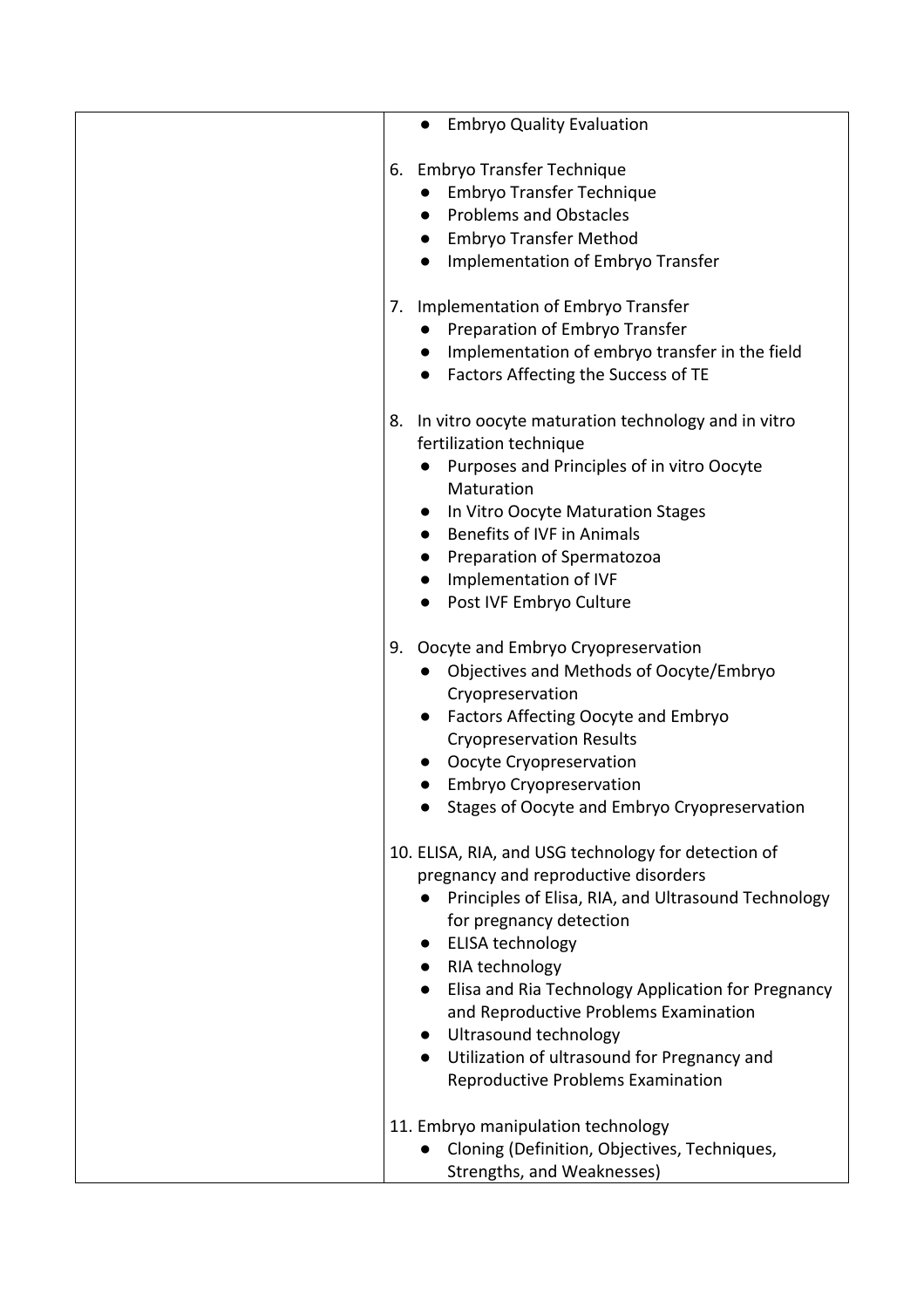|    | <b>Embryo Quality Evaluation</b>                                                                                                                                                                                                                                                               |
|----|------------------------------------------------------------------------------------------------------------------------------------------------------------------------------------------------------------------------------------------------------------------------------------------------|
| 6. | <b>Embryo Transfer Technique</b>                                                                                                                                                                                                                                                               |
|    | Embryo Transfer Technique                                                                                                                                                                                                                                                                      |
|    | <b>Problems and Obstacles</b>                                                                                                                                                                                                                                                                  |
|    | <b>Embryo Transfer Method</b>                                                                                                                                                                                                                                                                  |
|    | Implementation of Embryo Transfer                                                                                                                                                                                                                                                              |
|    |                                                                                                                                                                                                                                                                                                |
|    | Implementation of Embryo Transfer<br>7.                                                                                                                                                                                                                                                        |
|    | Preparation of Embryo Transfer                                                                                                                                                                                                                                                                 |
|    | Implementation of embryo transfer in the field                                                                                                                                                                                                                                                 |
|    | • Factors Affecting the Success of TE                                                                                                                                                                                                                                                          |
| 8. | In vitro oocyte maturation technology and in vitro                                                                                                                                                                                                                                             |
|    | fertilization technique                                                                                                                                                                                                                                                                        |
|    | Purposes and Principles of in vitro Oocyte                                                                                                                                                                                                                                                     |
|    | Maturation                                                                                                                                                                                                                                                                                     |
|    | In Vitro Oocyte Maturation Stages<br>$\bullet$                                                                                                                                                                                                                                                 |
|    | <b>Benefits of IVF in Animals</b>                                                                                                                                                                                                                                                              |
|    | Preparation of Spermatozoa<br>$\bullet$                                                                                                                                                                                                                                                        |
|    | Implementation of IVF<br>$\bullet$                                                                                                                                                                                                                                                             |
|    | Post IVF Embryo Culture                                                                                                                                                                                                                                                                        |
| 9. | Oocyte and Embryo Cryopreservation<br>Objectives and Methods of Oocyte/Embryo<br>Cryopreservation<br>Factors Affecting Oocyte and Embryo<br>$\bullet$<br><b>Cryopreservation Results</b><br>Oocyte Cryopreservation<br>Embryo Cryopreservation<br>Stages of Oocyte and Embryo Cryopreservation |
|    | 10. ELISA, RIA, and USG technology for detection of<br>pregnancy and reproductive disorders                                                                                                                                                                                                    |
|    | Principles of Elisa, RIA, and Ultrasound Technology<br>for pregnancy detection                                                                                                                                                                                                                 |
|    | <b>ELISA technology</b>                                                                                                                                                                                                                                                                        |
|    | RIA technology                                                                                                                                                                                                                                                                                 |
|    | Elisa and Ria Technology Application for Pregnancy                                                                                                                                                                                                                                             |
|    | and Reproductive Problems Examination                                                                                                                                                                                                                                                          |
|    | • Ultrasound technology                                                                                                                                                                                                                                                                        |
|    | Utilization of ultrasound for Pregnancy and                                                                                                                                                                                                                                                    |
|    | <b>Reproductive Problems Examination</b>                                                                                                                                                                                                                                                       |
|    | 11. Embryo manipulation technology                                                                                                                                                                                                                                                             |
|    | Cloning (Definition, Objectives, Techniques,                                                                                                                                                                                                                                                   |
|    | Strengths, and Weaknesses)                                                                                                                                                                                                                                                                     |